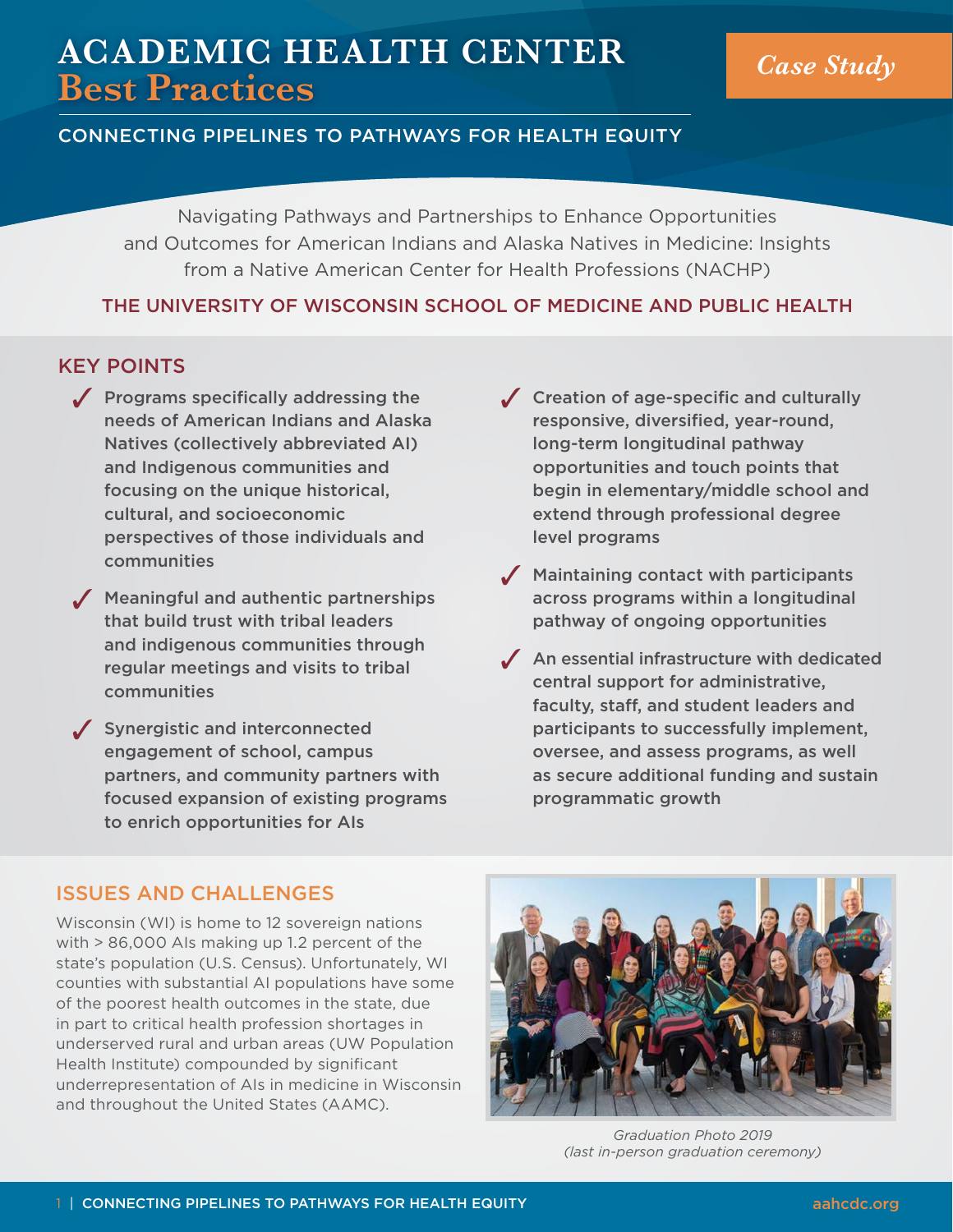## **ACADEMIC HEALTH CENTER Best Practices** *Case Study*

#### CONNECTING PIPELINES TO PATHWAYS FOR HEALTH EQUITY

Navigating Pathways and Partnerships to Enhance Opportunities and Outcomes for American Indians and Alaska Natives in Medicine: Insights from a Native American Center for Health Professions (NACHP)

#### THE UNIVERSITY OF WISCONSIN SCHOOL OF MEDICINE AND PUBLIC HEALTH

#### KEY POINTS

- $\sqrt{ }$  Programs specifically addressing the needs of American Indians and Alaska Natives (collectively abbreviated AI) and Indigenous communities and focusing on the unique historical, cultural, and socioeconomic perspectives of those individuals and communities
- $<sup>5</sup>$  Meaningful and authentic partnerships</sup> that build trust with tribal leaders and indigenous communities through regular meetings and visits to tribal communities
- $\sqrt{\phantom{a}}$  Synergistic and interconnected engagement of school, campus partners, and community partners with focused expansion of existing programs to enrich opportunities for AIs
- $\sqrt{\phantom{a}}$  Creation of age-specific and culturally responsive, diversified, year-round, long-term longitudinal pathway opportunities and touch points that begin in elementary/middle school and extend through professional degree level programs
- $\sqrt{\phantom{a}}$  Maintaining contact with participants across programs within a longitudinal pathway of ongoing opportunities
- $\sqrt{\phantom{a}}$  An essential infrastructure with dedicated central support for administrative, faculty, staff, and student leaders and participants to successfully implement, oversee, and assess programs, as well as secure additional funding and sustain programmatic growth

#### ISSUES AND CHALLENGES

Wisconsin (WI) is home to 12 sovereign nations with > 86,000 AIs making up 1.2 percent of the state's population (U.S. Census). Unfortunately, WI counties with substantial AI populations have some of the poorest health outcomes in the state, due in part to critical health profession shortages in underserved rural and urban areas (UW Population Health Institute) compounded by significant underrepresentation of AIs in medicine in Wisconsin and throughout the United States (AAMC).



*Graduation Photo 2019 (last in-person graduation ceremony)*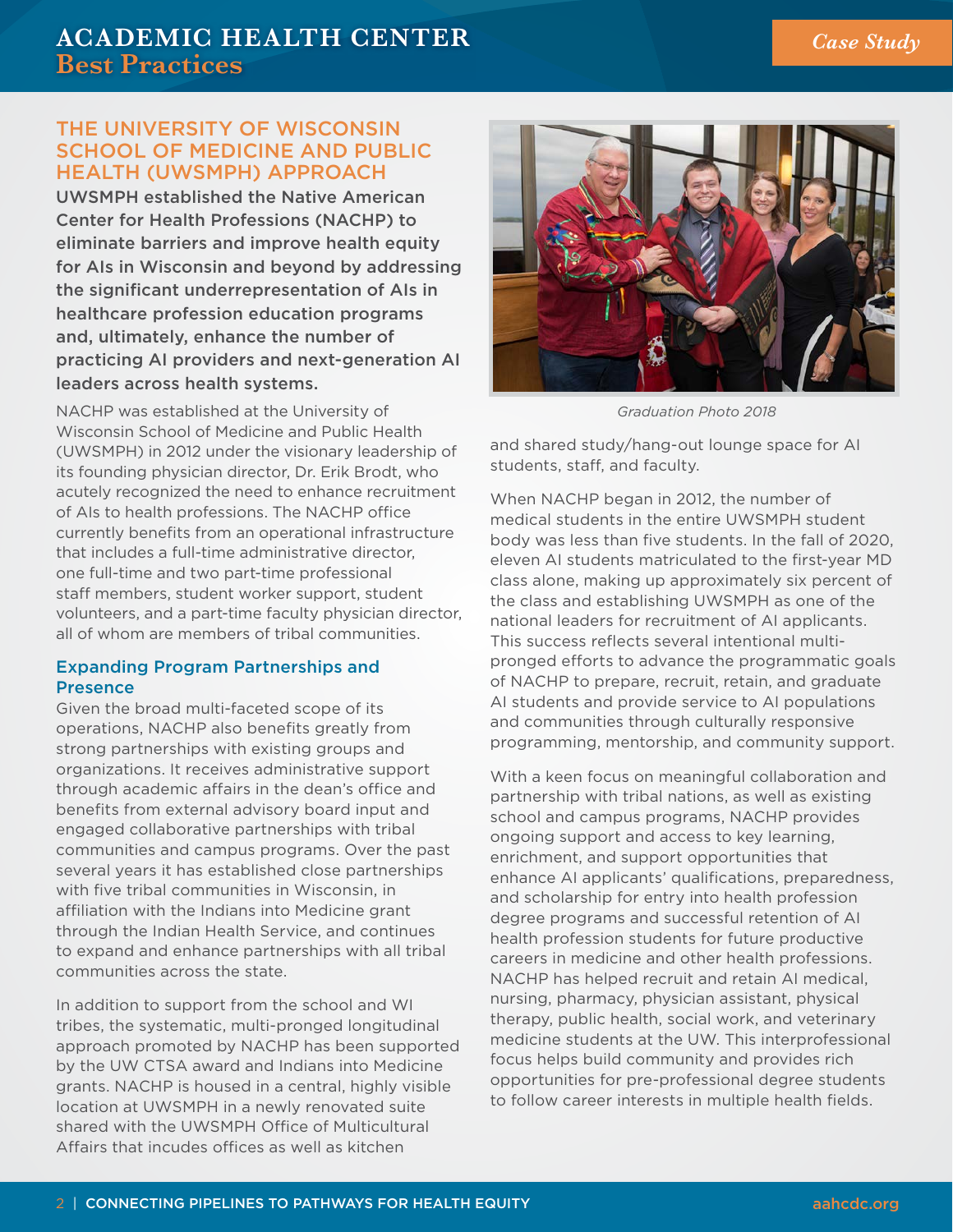### **ACADEMIC HEALTH CENTER Best Practices**

#### THE UNIVERSITY OF WISCONSIN SCHOOL OF MEDICINE AND PUBLIC HEALTH (UWSMPH) APPROACH

UWSMPH established the Native American Center for Health Professions (NACHP) to eliminate barriers and improve health equity for AIs in Wisconsin and beyond by addressing the significant underrepresentation of AIs in healthcare profession education programs and, ultimately, enhance the number of practicing AI providers and next-generation AI leaders across health systems.

NACHP was established at the University of Wisconsin School of Medicine and Public Health (UWSMPH) in 2012 under the visionary leadership of its founding physician director, Dr. Erik Brodt, who acutely recognized the need to enhance recruitment of AIs to health professions. The NACHP office currently benefits from an operational infrastructure that includes a full-time administrative director, one full-time and two part-time professional staff members, student worker support, student volunteers, and a part-time faculty physician director, all of whom are members of tribal communities.

#### Expanding Program Partnerships and Presence

Given the broad multi-faceted scope of its operations, NACHP also benefits greatly from strong partnerships with existing groups and organizations. It receives administrative support through academic affairs in the dean's office and benefits from external advisory board input and engaged collaborative partnerships with tribal communities and campus programs. Over the past several years it has established close partnerships with five tribal communities in Wisconsin, in affiliation with the Indians into Medicine grant through the Indian Health Service, and continues to expand and enhance partnerships with all tribal communities across the state.

In addition to support from the school and WI tribes, the systematic, multi-pronged longitudinal approach promoted by NACHP has been supported by the UW CTSA award and Indians into Medicine grants. NACHP is housed in a central, highly visible location at UWSMPH in a newly renovated suite shared with the UWSMPH Office of Multicultural Affairs that incudes offices as well as kitchen



*Graduation Photo 2018* 

and shared study/hang-out lounge space for AI students, staff, and faculty.

When NACHP began in 2012, the number of medical students in the entire UWSMPH student body was less than five students. In the fall of 2020, eleven AI students matriculated to the first-year MD class alone, making up approximately six percent of the class and establishing UWSMPH as one of the national leaders for recruitment of AI applicants. This success reflects several intentional multipronged efforts to advance the programmatic goals of NACHP to prepare, recruit, retain, and graduate AI students and provide service to AI populations and communities through culturally responsive programming, mentorship, and community support.

With a keen focus on meaningful collaboration and partnership with tribal nations, as well as existing school and campus programs, NACHP provides ongoing support and access to key learning, enrichment, and support opportunities that enhance AI applicants' qualifications, preparedness, and scholarship for entry into health profession degree programs and successful retention of AI health profession students for future productive careers in medicine and other health professions. NACHP has helped recruit and retain AI medical, nursing, pharmacy, physician assistant, physical therapy, public health, social work, and veterinary medicine students at the UW. This interprofessional focus helps build community and provides rich opportunities for pre-professional degree students to follow career interests in multiple health fields.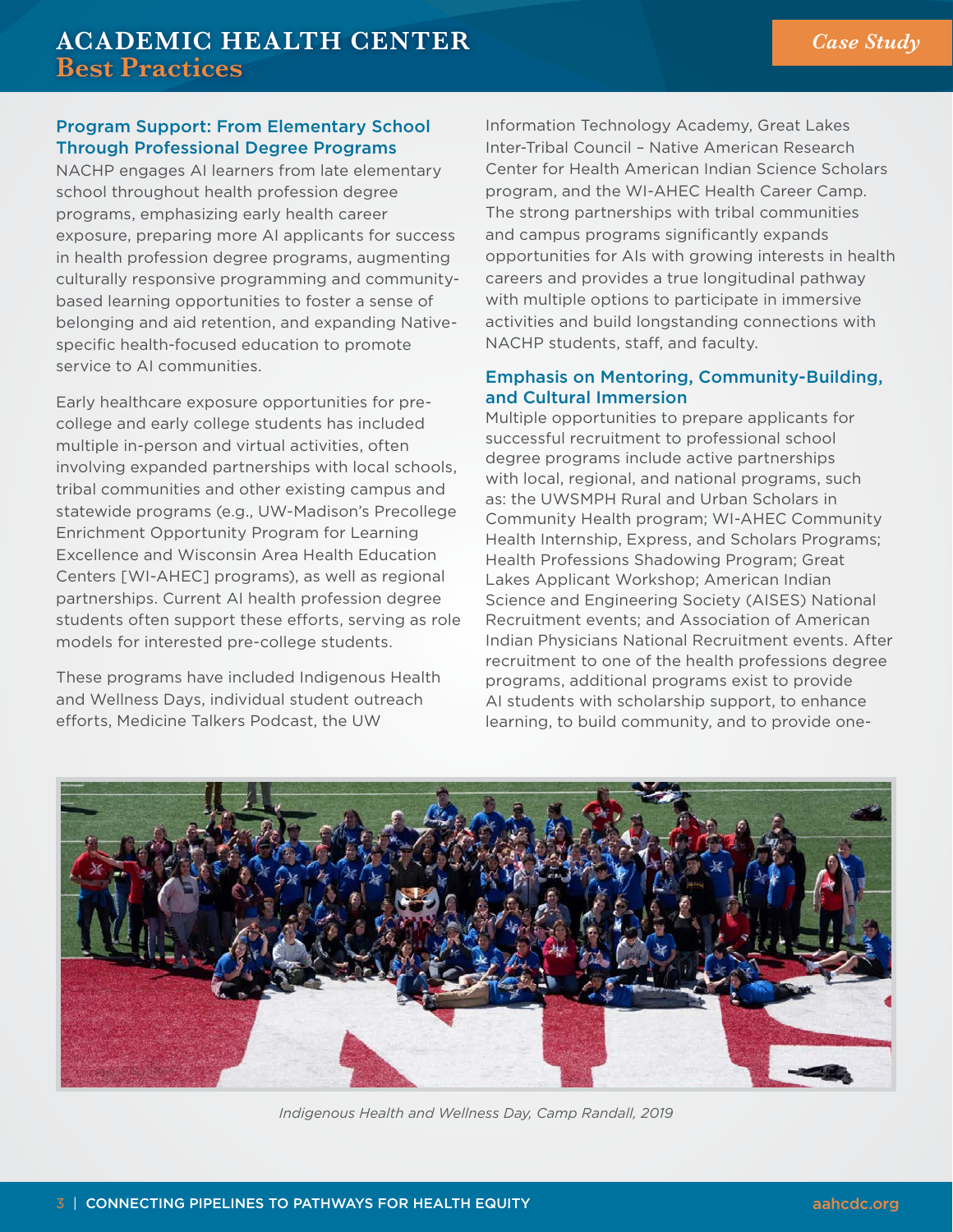#### Program Support: From Elementary School Through Professional Degree Programs

NACHP engages AI learners from late elementary school throughout health profession degree programs, emphasizing early health career exposure, preparing more AI applicants for success in health profession degree programs, augmenting culturally responsive programming and communitybased learning opportunities to foster a sense of belonging and aid retention, and expanding Nativespecific health-focused education to promote service to AI communities.

Early healthcare exposure opportunities for precollege and early college students has included multiple in-person and virtual activities, often involving expanded partnerships with local schools, tribal communities and other existing campus and statewide programs (e.g., UW-Madison's Precollege Enrichment Opportunity Program for Learning Excellence and Wisconsin Area Health Education Centers [WI-AHEC] programs), as well as regional partnerships. Current AI health profession degree students often support these efforts, serving as role models for interested pre-college students.

These programs have included Indigenous Health and Wellness Days, individual student outreach efforts, Medicine Talkers Podcast, the UW

Information Technology Academy, Great Lakes Inter-Tribal Council – Native American Research Center for Health American Indian Science Scholars program, and the WI-AHEC Health Career Camp. The strong partnerships with tribal communities and campus programs significantly expands opportunities for AIs with growing interests in health careers and provides a true longitudinal pathway with multiple options to participate in immersive activities and build longstanding connections with NACHP students, staff, and faculty.

#### Emphasis on Mentoring, Community-Building, and Cultural Immersion

Multiple opportunities to prepare applicants for successful recruitment to professional school degree programs include active partnerships with local, regional, and national programs, such as: the UWSMPH Rural and Urban Scholars in Community Health program; WI-AHEC Community Health Internship, Express, and Scholars Programs; Health Professions Shadowing Program; Great Lakes Applicant Workshop; American Indian Science and Engineering Society (AISES) National Recruitment events; and Association of American Indian Physicians National Recruitment events. After recruitment to one of the health professions degree programs, additional programs exist to provide AI students with scholarship support, to enhance learning, to build community, and to provide one-



*Indigenous Health and Wellness Day, Camp Randall, 2019*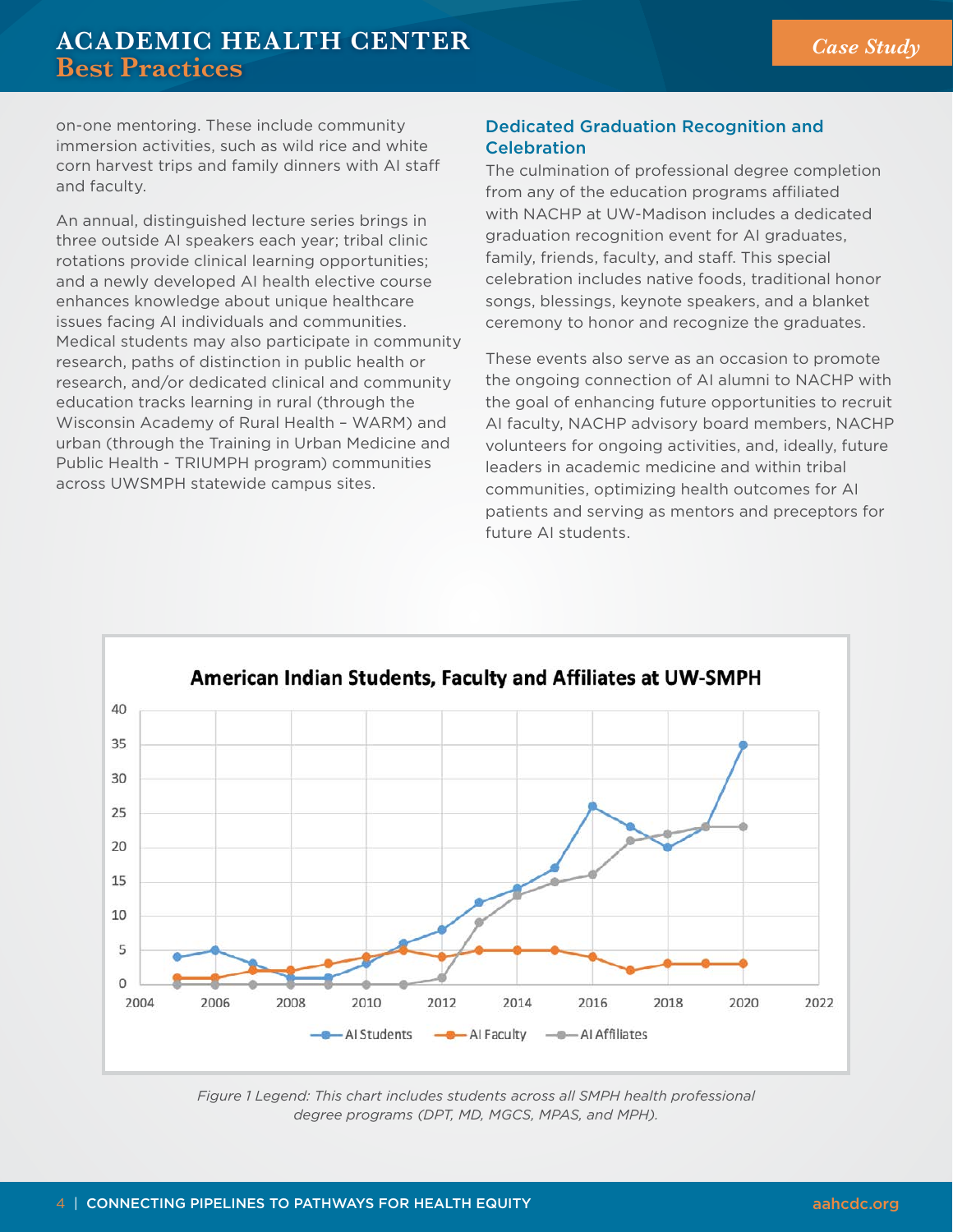# **ACADEMIC HEALTH CENTER Best Practices** *Case Study*

on-one mentoring. These include community immersion activities, such as wild rice and white corn harvest trips and family dinners with AI staff and faculty.

An annual, distinguished lecture series brings in three outside AI speakers each year; tribal clinic rotations provide clinical learning opportunities; and a newly developed AI health elective course enhances knowledge about unique healthcare issues facing AI individuals and communities. Medical students may also participate in community research, paths of distinction in public health or research, and/or dedicated clinical and community education tracks learning in rural (through the Wisconsin Academy of Rural Health – WARM) and urban (through the Training in Urban Medicine and Public Health - TRIUMPH program) communities across UWSMPH statewide campus sites.

#### Dedicated Graduation Recognition and Celebration

The culmination of professional degree completion from any of the education programs affiliated with NACHP at UW-Madison includes a dedicated graduation recognition event for AI graduates, family, friends, faculty, and staff. This special celebration includes native foods, traditional honor songs, blessings, keynote speakers, and a blanket ceremony to honor and recognize the graduates.

These events also serve as an occasion to promote the ongoing connection of AI alumni to NACHP with the goal of enhancing future opportunities to recruit AI faculty, NACHP advisory board members, NACHP volunteers for ongoing activities, and, ideally, future leaders in academic medicine and within tribal communities, optimizing health outcomes for AI patients and serving as mentors and preceptors for future AI students.



*Figure 1 Legend: This chart includes students across all SMPH health professional degree programs (DPT, MD, MGCS, MPAS, and MPH).*